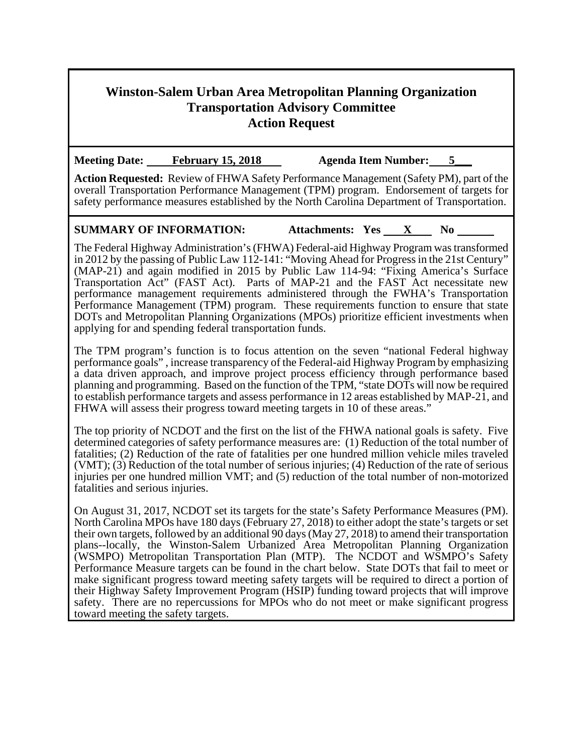## **Winston-Salem Urban Area Metropolitan Planning Organization Transportation Advisory Committee Action Request**

Meeting Date: February 15, 2018 Agenda Item Number: 5

**Action Requested:** Review of FHWA Safety Performance Management (Safety PM), part of the overall Transportation Performance Management (TPM) program. Endorsement of targets for safety performance measures established by the North Carolina Department of Transportation.

## **SUMMARY OF INFORMATION:** Attachments: Yes X No

The Federal Highway Administration's (FHWA) Federal-aid Highway Program was transformed in 2012 by the passing of Public Law 112-141: "Moving Ahead for Progress in the 21st Century" (MAP-21) and again modified in 2015 by Public Law 114-94: "Fixing America's Surface Transportation Act" (FAST Act). Parts of MAP-21 and the FAST Act necessitate new performance management requirements administered through the FWHA's Transportation Performance Management (TPM) program. These requirements function to ensure that state DOTs and Metropolitan Planning Organizations (MPOs) prioritize efficient investments when applying for and spending federal transportation funds.

The TPM program's function is to focus attention on the seven "national Federal highway performance goals" , increase transparency of the Federal-aid Highway Program by emphasizing a data driven approach, and improve project process efficiency through performance based planning and programming. Based on the function of the TPM, "state DOTs will now be required to establish performance targets and assess performance in 12 areas established by MAP-21, and FHWA will assess their progress toward meeting targets in 10 of these areas."

The top priority of NCDOT and the first on the list of the FHWA national goals is safety. Five determined categories of safety performance measures are: (1) Reduction of the total number of fatalities; (2) Reduction of the rate of fatalities per one hundred million vehicle miles traveled (VMT); (3) Reduction of the total number of serious injuries; (4) Reduction of the rate of serious injuries per one hundred million VMT; and (5) reduction of the total number of non-motorized fatalities and serious injuries.

On August 31, 2017, NCDOT set its targets for the state's Safety Performance Measures (PM). North Carolina MPOs have 180 days (February 27, 2018) to either adopt the state's targets or set their own targets, followed by an additional 90 days (May 27, 2018) to amend their transportation plans--locally, the Winston-Salem Urbanized Area Metropolitan Planning Organization (WSMPO) Metropolitan Transportation Plan (MTP). The NCDOT and WSMPO's Safety Performance Measure targets can be found in the chart below. State DOTs that fail to meet or make significant progress toward meeting safety targets will be required to direct a portion of their Highway Safety Improvement Program (HSIP) funding toward projects that will improve safety. There are no repercussions for MPOs who do not meet or make significant progress toward meeting the safety targets.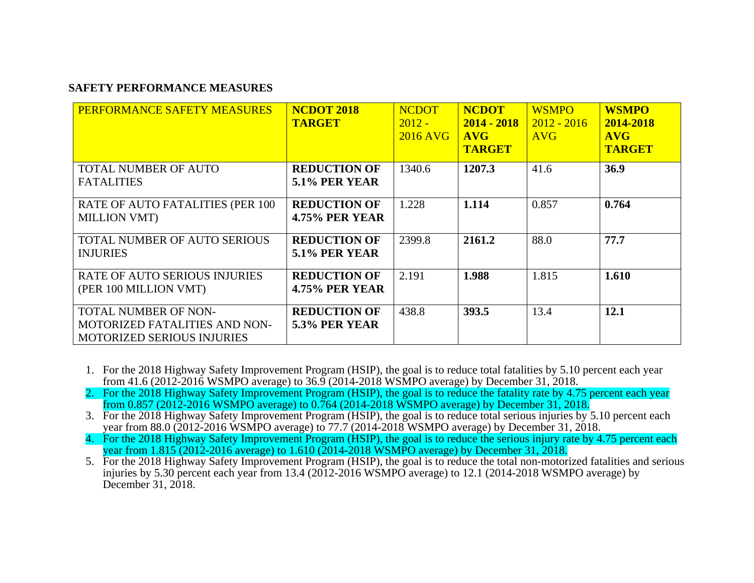## **SAFETY PERFORMANCE MEASURES**

| PERFORMANCE SAFETY MEASURES                                                                              | <b>NCDOT 2018</b><br><b>TARGET</b>           | <b>NCDOT</b><br>$2012 -$<br>2016 AVG | <b>NCDOT</b><br>$2014 - 2018$<br><b>AVG</b><br><b>TARGET</b> | <b>WSMPO</b><br>$2012 - 2016$<br><b>AVG</b> | <b>WSMPO</b><br>2014-2018<br><b>AVG</b><br><b>TARGET</b> |
|----------------------------------------------------------------------------------------------------------|----------------------------------------------|--------------------------------------|--------------------------------------------------------------|---------------------------------------------|----------------------------------------------------------|
| <b>TOTAL NUMBER OF AUTO</b><br><b>FATALITIES</b>                                                         | <b>REDUCTION OF</b><br><b>5.1% PER YEAR</b>  | 1340.6                               | 1207.3                                                       | 41.6                                        | 36.9                                                     |
| RATE OF AUTO FATALITIES (PER 100<br><b>MILLION VMT)</b>                                                  | <b>REDUCTION OF</b><br><b>4.75% PER YEAR</b> | 1.228                                | 1.114                                                        | 0.857                                       | 0.764                                                    |
| TOTAL NUMBER OF AUTO SERIOUS<br><b>INJURIES</b>                                                          | <b>REDUCTION OF</b><br><b>5.1% PER YEAR</b>  | 2399.8                               | 2161.2                                                       | 88.0                                        | 77.7                                                     |
| <b>RATE OF AUTO SERIOUS INJURIES</b><br>(PER 100 MILLION VMT)                                            | <b>REDUCTION OF</b><br><b>4.75% PER YEAR</b> | 2.191                                | 1.988                                                        | 1.815                                       | 1.610                                                    |
| <b>TOTAL NUMBER OF NON-</b><br><b>MOTORIZED FATALITIES AND NON-</b><br><b>MOTORIZED SERIOUS INJURIES</b> | <b>REDUCTION OF</b><br>5.3% PER YEAR         | 438.8                                | 393.5                                                        | 13.4                                        | 12.1                                                     |

- 1. For the 2018 Highway Safety Improvement Program (HSIP), the goal is to reduce total fatalities by 5.10 percent each year from 41.6 (2012-2016 WSMPO average) to 36.9 (2014-2018 WSMPO average) by December 31, 2018.
- 2. For the 2018 Highway Safety Improvement Program (HSIP), the goal is to reduce the fatality rate by 4.75 percent each year from 0.857 (2012-2016 WSMPO average) to 0.764 (2014-2018 WSMPO average) by December 31, 2018.
- 3. For the 2018 Highway Safety Improvement Program (HSIP), the goal is to reduce total serious injuries by 5.10 percent each year from 88.0 (2012-2016 WSMPO average) to 77.7 (2014-2018 WSMPO average) by December 31, 2018.
- 4. For the 2018 Highway Safety Improvement Program (HSIP), the goal is to reduce the serious injury rate by 4.75 percent each year from 1.815 (2012-2016 average) to 1.610 (2014-2018 WSMPO average) by December 31, 2018.
- 5. For the 2018 Highway Safety Improvement Program (HSIP), the goal is to reduce the total non-motorized fatalities and serious injuries by 5.30 percent each year from 13.4 (2012-2016 WSMPO average) to 12.1 (2014-2018 WSMPO average) by December 31, 2018.